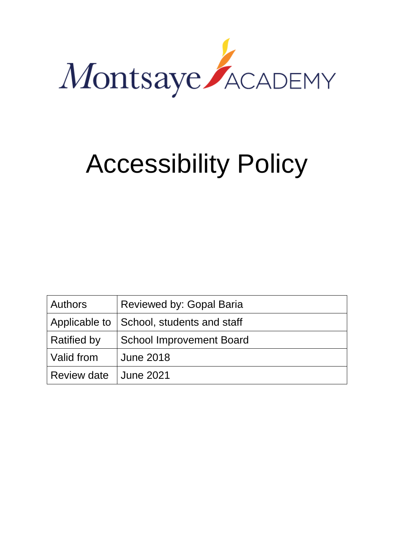

# Accessibility Policy

| <b>Authors</b>     | Reviewed by: Gopal Baria                   |
|--------------------|--------------------------------------------|
|                    | Applicable to   School, students and staff |
| <b>Ratified by</b> | <b>School Improvement Board</b>            |
| Valid from         | <b>June 2018</b>                           |
| <b>Review date</b> | June 2021                                  |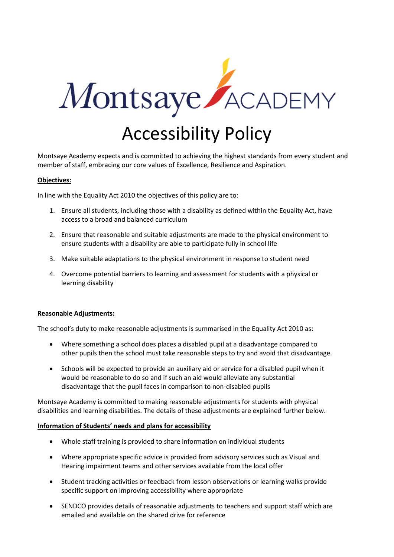

Montsaye Academy expects and is committed to achieving the highest standards from every student and member of staff, embracing our core values of Excellence, Resilience and Aspiration.

### **Objectives:**

In line with the Equality Act 2010 the objectives of this policy are to:

- 1. Ensure all students, including those with a disability as defined within the Equality Act, have access to a broad and balanced curriculum
- 2. Ensure that reasonable and suitable adjustments are made to the physical environment to ensure students with a disability are able to participate fully in school life
- 3. Make suitable adaptations to the physical environment in response to student need
- 4. Overcome potential barriers to learning and assessment for students with a physical or learning disability

#### **Reasonable Adjustments:**

The school's duty to make reasonable adjustments is summarised in the Equality Act 2010 as:

- Where something a school does places a disabled pupil at a disadvantage compared to other pupils then the school must take reasonable steps to try and avoid that disadvantage.
- Schools will be expected to provide an auxiliary aid or service for a disabled pupil when it would be reasonable to do so and if such an aid would alleviate any substantial disadvantage that the pupil faces in comparison to non-disabled pupils

Montsaye Academy is committed to making reasonable adjustments for students with physical disabilities and learning disabilities. The details of these adjustments are explained further below.

#### **Information of Students' needs and plans for accessibility**

- Whole staff training is provided to share information on individual students
- Where appropriate specific advice is provided from advisory services such as Visual and Hearing impairment teams and other services available from the local offer
- Student tracking activities or feedback from lesson observations or learning walks provide specific support on improving accessibility where appropriate
- SENDCO provides details of reasonable adjustments to teachers and support staff which are emailed and available on the shared drive for reference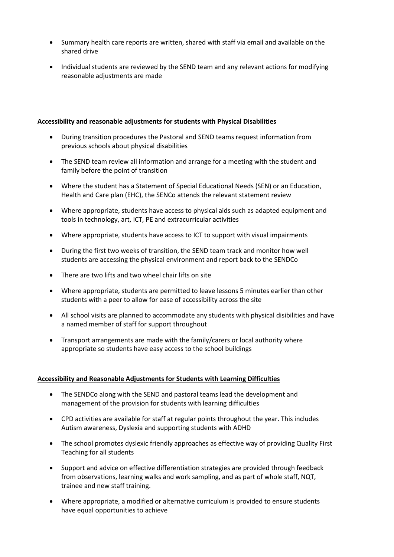- Summary health care reports are written, shared with staff via email and available on the shared drive
- Individual students are reviewed by the SEND team and any relevant actions for modifying reasonable adjustments are made

## **Accessibility and reasonable adjustments for students with Physical Disabilities**

- During transition procedures the Pastoral and SEND teams request information from previous schools about physical disabilities
- The SEND team review all information and arrange for a meeting with the student and family before the point of transition
- Where the student has a Statement of Special Educational Needs (SEN) or an Education, Health and Care plan (EHC), the SENCo attends the relevant statement review
- Where appropriate, students have access to physical aids such as adapted equipment and tools in technology, art, ICT, PE and extracurricular activities
- Where appropriate, students have access to ICT to support with visual impairments
- During the first two weeks of transition, the SEND team track and monitor how well students are accessing the physical environment and report back to the SENDCo
- There are two lifts and two wheel chair lifts on site
- Where appropriate, students are permitted to leave lessons 5 minutes earlier than other students with a peer to allow for ease of accessibility across the site
- All school visits are planned to accommodate any students with physical disibilities and have a named member of staff for support throughout
- Transport arrangements are made with the family/carers or local authority where appropriate so students have easy access to the school buildings

## **Accessibility and Reasonable Adjustments for Students with Learning Difficulties**

- The SENDCo along with the SEND and pastoral teams lead the development and management of the provision for students with learning difficulties
- CPD activities are available for staff at regular points throughout the year. This includes Autism awareness, Dyslexia and supporting students with ADHD
- The school promotes dyslexic friendly approaches as effective way of providing Quality First Teaching for all students
- Support and advice on effective differentiation strategies are provided through feedback from observations, learning walks and work sampling, and as part of whole staff, NQT, trainee and new staff training.
- Where appropriate, a modified or alternative curriculum is provided to ensure students have equal opportunities to achieve